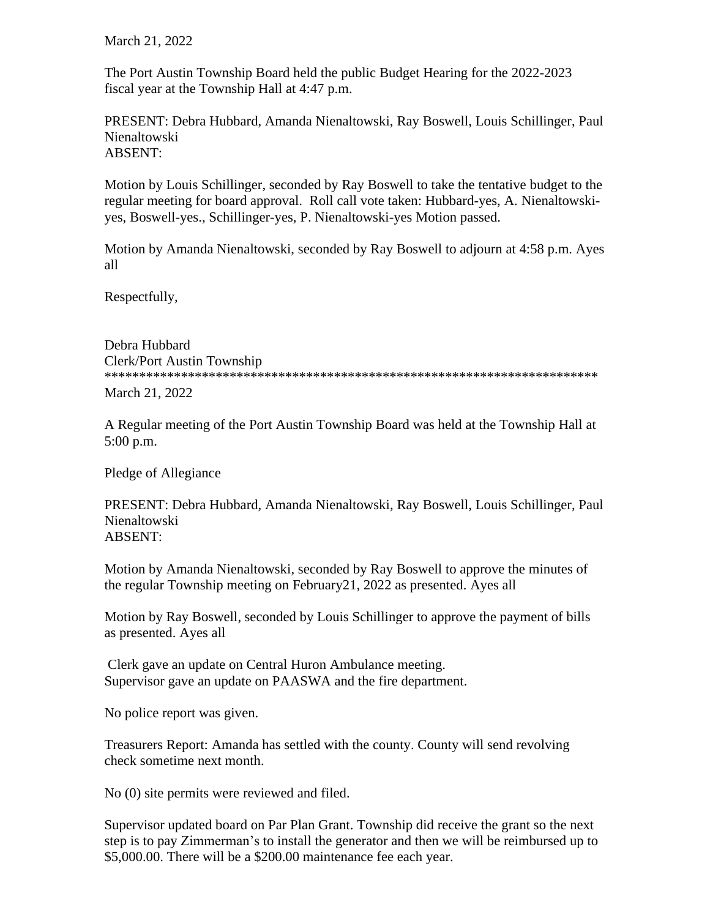March 21, 2022

The Port Austin Township Board held the public Budget Hearing for the 2022-2023 fiscal year at the Township Hall at 4:47 p.m.

PRESENT: Debra Hubbard, Amanda Nienaltowski, Ray Boswell, Louis Schillinger, Paul Nienaltowski ABSENT:

Motion by Louis Schillinger, seconded by Ray Boswell to take the tentative budget to the regular meeting for board approval. Roll call vote taken: Hubbard-yes, A. Nienaltowskiyes, Boswell-yes., Schillinger-yes, P. Nienaltowski-yes Motion passed.

Motion by Amanda Nienaltowski, seconded by Ray Boswell to adjourn at 4:58 p.m. Ayes all

Respectfully,

Debra Hubbard Clerk/Port Austin Township \*\*\*\*\*\*\*\*\*\*\*\*\*\*\*\*\*\*\*\*\*\*\*\*\*\*\*\*\*\*\*\*\*\*\*\*\*\*\*\*\*\*\*\*\*\*\*\*\*\*\*\*\*\*\*\*\*\*\*\*\*\*\*\*\*\*\*\*\*\*\*

March 21, 2022

A Regular meeting of the Port Austin Township Board was held at the Township Hall at 5:00 p.m.

Pledge of Allegiance

PRESENT: Debra Hubbard, Amanda Nienaltowski, Ray Boswell, Louis Schillinger, Paul Nienaltowski ABSENT:

Motion by Amanda Nienaltowski, seconded by Ray Boswell to approve the minutes of the regular Township meeting on February21, 2022 as presented. Ayes all

Motion by Ray Boswell, seconded by Louis Schillinger to approve the payment of bills as presented. Ayes all

Clerk gave an update on Central Huron Ambulance meeting. Supervisor gave an update on PAASWA and the fire department.

No police report was given.

Treasurers Report: Amanda has settled with the county. County will send revolving check sometime next month.

No (0) site permits were reviewed and filed.

Supervisor updated board on Par Plan Grant. Township did receive the grant so the next step is to pay Zimmerman's to install the generator and then we will be reimbursed up to \$5,000.00. There will be a \$200.00 maintenance fee each year.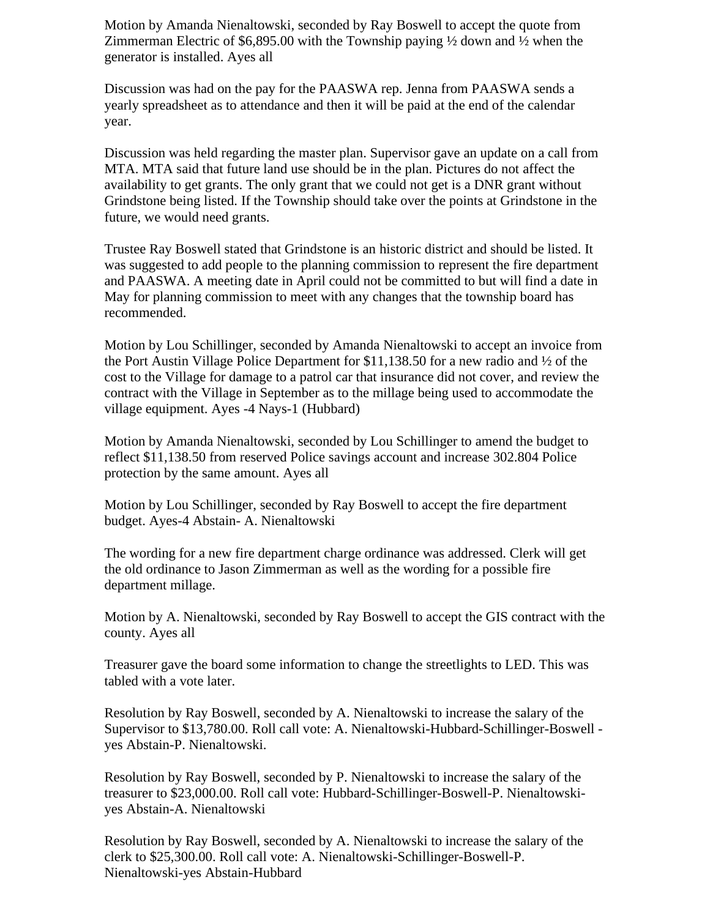Motion by Amanda Nienaltowski, seconded by Ray Boswell to accept the quote from Zimmerman Electric of \$6,895.00 with the Township paying  $\frac{1}{2}$  down and  $\frac{1}{2}$  when the generator is installed. Ayes all

Discussion was had on the pay for the PAASWA rep. Jenna from PAASWA sends a yearly spreadsheet as to attendance and then it will be paid at the end of the calendar year.

Discussion was held regarding the master plan. Supervisor gave an update on a call from MTA. MTA said that future land use should be in the plan. Pictures do not affect the availability to get grants. The only grant that we could not get is a DNR grant without Grindstone being listed. If the Township should take over the points at Grindstone in the future, we would need grants.

Trustee Ray Boswell stated that Grindstone is an historic district and should be listed. It was suggested to add people to the planning commission to represent the fire department and PAASWA. A meeting date in April could not be committed to but will find a date in May for planning commission to meet with any changes that the township board has recommended.

Motion by Lou Schillinger, seconded by Amanda Nienaltowski to accept an invoice from the Port Austin Village Police Department for \$11,138.50 for a new radio and ½ of the cost to the Village for damage to a patrol car that insurance did not cover, and review the contract with the Village in September as to the millage being used to accommodate the village equipment. Ayes -4 Nays-1 (Hubbard)

Motion by Amanda Nienaltowski, seconded by Lou Schillinger to amend the budget to reflect \$11,138.50 from reserved Police savings account and increase 302.804 Police protection by the same amount. Ayes all

Motion by Lou Schillinger, seconded by Ray Boswell to accept the fire department budget. Ayes-4 Abstain- A. Nienaltowski

The wording for a new fire department charge ordinance was addressed. Clerk will get the old ordinance to Jason Zimmerman as well as the wording for a possible fire department millage.

Motion by A. Nienaltowski, seconded by Ray Boswell to accept the GIS contract with the county. Ayes all

Treasurer gave the board some information to change the streetlights to LED. This was tabled with a vote later.

Resolution by Ray Boswell, seconded by A. Nienaltowski to increase the salary of the Supervisor to \$13,780.00. Roll call vote: A. Nienaltowski-Hubbard-Schillinger-Boswell yes Abstain-P. Nienaltowski.

Resolution by Ray Boswell, seconded by P. Nienaltowski to increase the salary of the treasurer to \$23,000.00. Roll call vote: Hubbard-Schillinger-Boswell-P. Nienaltowskiyes Abstain-A. Nienaltowski

Resolution by Ray Boswell, seconded by A. Nienaltowski to increase the salary of the clerk to \$25,300.00. Roll call vote: A. Nienaltowski-Schillinger-Boswell-P. Nienaltowski-yes Abstain-Hubbard